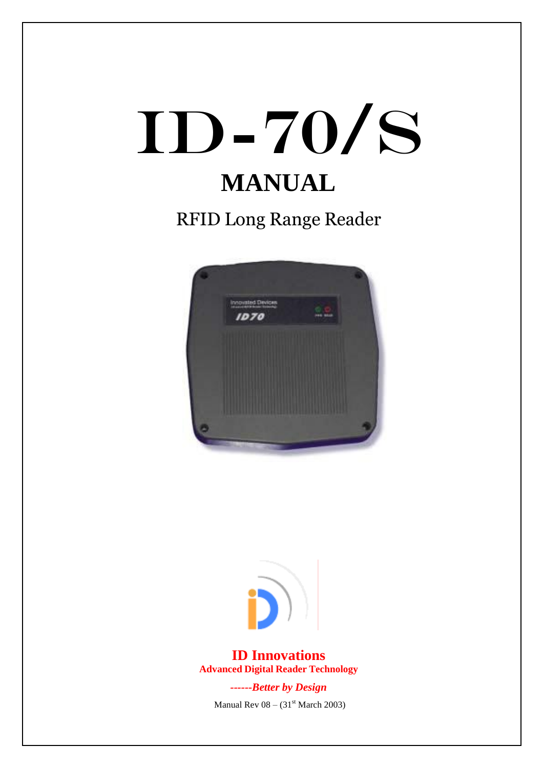# ID-70/s **MANUAL**

RFID Long Range Reader





**ID Innovations Advanced Digital Reader Technology**

> *------Better by Design* Manual Rev  $08 - (31<sup>st</sup> March 2003)$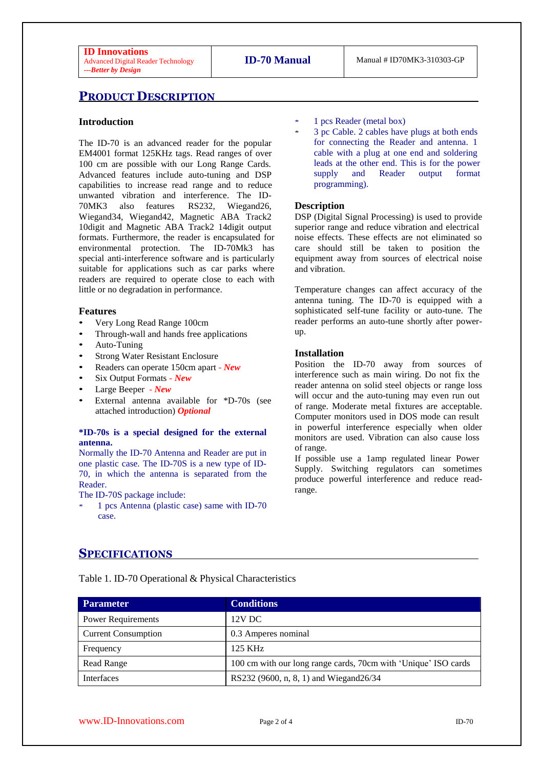## **PRODUCT DESCRIPTION**

#### **Introduction**

The ID-70 is an advanced reader for the popular EM4001 format 125KHz tags. Read ranges of over 100 cm are possible with our Long Range Cards. Advanced features include auto-tuning and DSP capabilities to increase read range and to reduce unwanted vibration and interference. The ID-70MK3 also features RS232, Wiegand26, Wiegand34, Wiegand42, Magnetic ABA Track2 10digit and Magnetic ABA Track2 14digit output formats. Furthermore, the reader is encapsulated for environmental protection. The ID-70Mk3 has special anti-interference software and is particularly suitable for applications such as car parks where readers are required to operate close to each with little or no degradation in performance.

#### **Features**

- Very Long Read Range 100cm
- Through-wall and hands free applications
- Auto-Tuning
- **Strong Water Resistant Enclosure**
- Readers can operate 150cm apart *New*
- Six Output Formats *New*
- Large Beeper *New*
- External antenna available for \*D-70s (see attached introduction) *Optional*

#### **\*ID-70s is a special designed for the external antenna.**

Normally the ID-70 Antenna and Reader are put in one plastic case. The ID-70S is a new type of ID-70, in which the antenna is separated from the Reader.

The ID-70S package include:

\* 1 pcs Antenna (plastic case) same with ID-70 case.

- 1 pcs Reader (metal box)
- \* 3 pc Cable. 2 cables have plugs at both ends for connecting the Reader and antenna. 1 cable with a plug at one end and soldering leads at the other end. This is for the power supply and Reader output format programming).

#### **Description**

DSP (Digital Signal Processing) is used to provide superior range and reduce vibration and electrical noise effects. These effects are not eliminated so care should still be taken to position the equipment away from sources of electrical noise and vibration.

Temperature changes can affect accuracy of the antenna tuning. The ID-70 is equipped with a sophisticated self-tune facility or auto-tune. The reader performs an auto-tune shortly after powerup.

#### **Installation**

Position the ID-70 away from sources of interference such as main wiring. Do not fix the reader antenna on solid steel objects or range loss will occur and the auto-tuning may even run out of range. Moderate metal fixtures are acceptable. Computer monitors used in DOS mode can result in powerful interference especially when older monitors are used. Vibration can also cause loss of range.

If possible use a 1amp regulated linear Power Supply. Switching regulators can sometimes produce powerful interference and reduce readrange.

## **SPECIFICATIONS**

Table 1. ID-70 Operational & Physical Characteristics

| Parameter                  | <b>Conditions</b>                                              |
|----------------------------|----------------------------------------------------------------|
| <b>Power Requirements</b>  | $12V$ DC                                                       |
| <b>Current Consumption</b> | 0.3 Amperes nominal                                            |
| Frequency                  | 125 KHz                                                        |
| Read Range                 | 100 cm with our long range cards, 70cm with 'Unique' ISO cards |
| <b>Interfaces</b>          | RS232 (9600, n, 8, 1) and Wiegand26/34                         |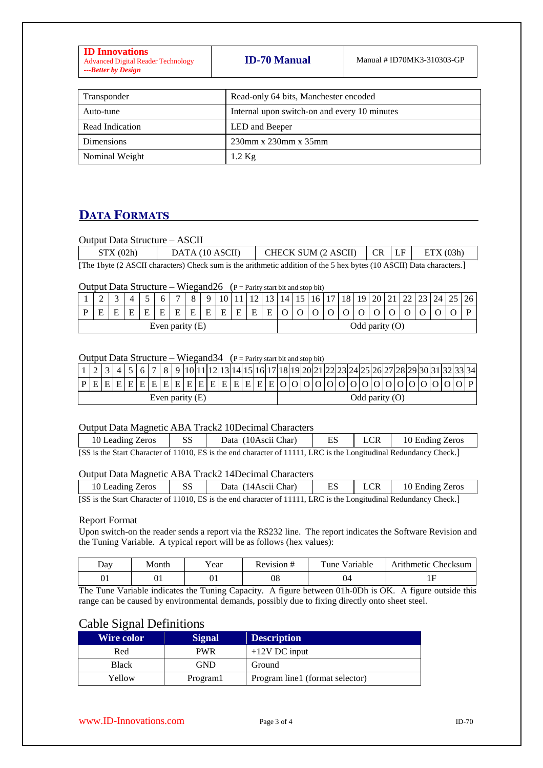| <b>ID-70 Manual</b><br>Manual # ID70MK3-310303-GP<br><b>Advanced Digital Reader Technology</b><br>---Better by Design |
|-----------------------------------------------------------------------------------------------------------------------|
|-----------------------------------------------------------------------------------------------------------------------|

| Transponder       | Read-only 64 bits, Manchester encoded        |
|-------------------|----------------------------------------------|
| Auto-tune         | Internal upon switch-on and every 10 minutes |
| Read Indication   | LED and Beeper                               |
| <b>Dimensions</b> | 230mm x 230mm x 35mm                         |
| Nominal Weight    | $1.2 \text{ Kg}$                             |

# **DATA FORMATS**

#### Output Data Structure – ASCII

| STX(02h) | DATA (10 ASCII) | CHECK SUM $(2 \text{ ASCII})$ $CR$ $LF$ $ETX$ $(03h)$                                                                                                                                                                                                                                                                                           |  |  |
|----------|-----------------|-------------------------------------------------------------------------------------------------------------------------------------------------------------------------------------------------------------------------------------------------------------------------------------------------------------------------------------------------|--|--|
|          |                 | $\text{[Theorem 16.4: } \text{[A.0011}, \text{L.01: } \text{[A.01: } \text{[C.01: } \text{[C.01: } \text{[C.01: } \text{[D.01: } \text{[C.01: } \text{[C.01: } \text{[D.01: } \text{[C.01: } \text{[C.01: } \text{[C.01: } \text{[C.01: } \text{[C.01: } \text{[C.01: } \text{[C.01: } \text{[C.01: } \text{[C.01: } \text{[C.01: } \text{[C.0$ |  |  |

[The 1byte (2 ASCII characters) Check sum is the arithmetic addition of the 5 hex bytes (10 ASCII) Data characters.]

## Output Data Structure – Wiegand26 ( $P =$  Parity start bit and stop bit)

|                   | $\sim$<br>∼ |   |  |   |   | $\overline{ }$ |   | Q. | 10 l |   | $1^{\circ}$      |   | 13   14   15   16   17   18   19   20   21 |  |  |  | 22 I | $23 \mid 24 \mid 25$ | 26 |
|-------------------|-------------|---|--|---|---|----------------|---|----|------|---|------------------|---|--------------------------------------------|--|--|--|------|----------------------|----|
|                   | н           | E |  | F | E |                | E | E  | E    | E | E                | E |                                            |  |  |  |      |                      |    |
| Even parity $(E)$ |             |   |  |   |   |                |   |    |      |   | Odd parity $(O)$ |   |                                            |  |  |  |      |                      |    |

## Output Data Structure – Wiegand  $34$  (P = Parity start bit and stop bit)

|                   |  |  |  |  |  |  |  | 4   5   6   7   8   9  10 11 12 13 14 15 16 17 18 19 20 21 22 23 24 25 26 27 28 29 30 31 32 33 34 |  |  |                  |  |  |  |  |  |  |  |  |  |
|-------------------|--|--|--|--|--|--|--|---------------------------------------------------------------------------------------------------|--|--|------------------|--|--|--|--|--|--|--|--|--|
|                   |  |  |  |  |  |  |  | $ P E E E E E E E E E E E E E E E E E O O O O O O O O O O O O O O O P $                           |  |  |                  |  |  |  |  |  |  |  |  |  |
| Even parity $(E)$ |  |  |  |  |  |  |  |                                                                                                   |  |  | Odd parity $(O)$ |  |  |  |  |  |  |  |  |  |

#### Output Data Magnetic ABA Track2 10Decimal Characters

| 10 Leading Zeros | <b>SS</b> | Data (10Ascii Char)                                                                                               | ES | <b>LCR</b> | 10 Ending Zeros |
|------------------|-----------|-------------------------------------------------------------------------------------------------------------------|----|------------|-----------------|
|                  |           | [SS is the Start Character of 11010, ES is the end character of 11111, LRC is the Longitudinal Redundancy Check.] |    |            |                 |

#### Output Data Magnetic ABA Track2 14Decimal Characters

| 10 Leading Zeros | SS | Data (14 Ascii Char)                                                                                                                       |  | 10 Ending Zeros |
|------------------|----|--------------------------------------------------------------------------------------------------------------------------------------------|--|-----------------|
|                  |    | $[CC]$ is the $C$ text $C$ beyondor of 11010. $\Box C$ is the end showester of 11111. I DC is the Longitudinal Dedundancy $C$ heal: $\Box$ |  |                 |

[SS is the Start Character of 11010, ES is the end character of 11111, LRC is the Longitudinal Redundancy Check.]

#### Report Format

Upon switch-on the reader sends a report via the RS232 line. The report indicates the Software Revision and the Tuning Variable. A typical report will be as follows (hex values):

| Day      | Month | ′ear | Rev1s10n# | Variable<br>$T$ une | Checksum<br>Arithmetic C |
|----------|-------|------|-----------|---------------------|--------------------------|
| Ωſ<br>UΙ | UI    | UΙ   | 08        | 04                  | . .                      |

The Tune Variable indicates the Tuning Capacity. A figure between 01h-0Dh is OK. A figure outside this range can be caused by environmental demands, possibly due to fixing directly onto sheet steel.

## Cable Signal Definitions

| <b>Wire color</b> | <b>Signal</b> | <b>Description</b>              |
|-------------------|---------------|---------------------------------|
| Red               | <b>PWR</b>    | $+12V$ DC input                 |
| <b>Black</b>      | GND           | Ground                          |
| Yellow            | Program1      | Program line1 (format selector) |